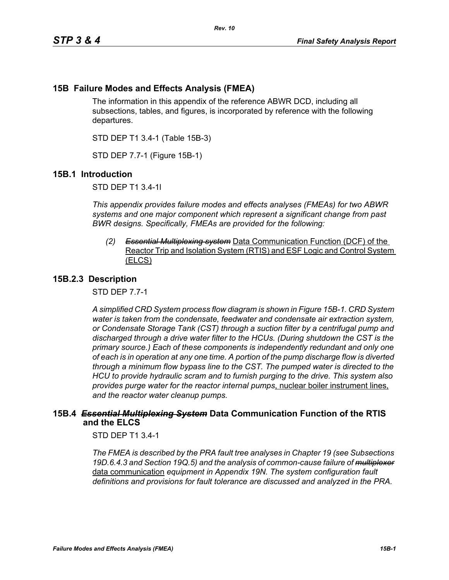# **15B Failure Modes and Effects Analysis (FMEA)**

The information in this appendix of the reference ABWR DCD, including all subsections, tables, and figures, is incorporated by reference with the following departures.

STD DEP T1 3.4-1 (Table 15B-3)

STD DEP 7.7-1 (Figure 15B-1)

## **15B.1 Introduction**

STD DEP T1 3.4-1l

*This appendix provides failure modes and effects analyses (FMEAs) for two ABWR systems and one major component which represent a significant change from past BWR designs. Specifically, FMEAs are provided for the following:*

*(2) Essential Multiplexing system* Data Communication Function (DCF) of the Reactor Trip and Isolation System (RTIS) and ESF Logic and Control System (ELCS)

## **15B.2.3 Description**

STD DEP 7.7-1

*A simplified CRD System process flow diagram is shown in Figure [15B-1.](#page-2-0) CRD System water is taken from the condensate, feedwater and condensate air extraction system, or Condensate Storage Tank (CST) through a suction filter by a centrifugal pump and discharged through a drive water filter to the HCUs. (During shutdown the CST is the primary source.) Each of these components is independently redundant and only one of each is in operation at any one time. A portion of the pump discharge flow is diverted through a minimum flow bypass line to the CST. The pumped water is directed to the HCU to provide hydraulic scram and to furnish purging to the drive. This system also provides purge water for the reactor internal pumps*, nuclear boiler instrument lines, *and the reactor water cleanup pumps.*

## **15B.4** *Essential Multiplexing System* **Data Communication Function of the RTIS and the ELCS**

STD DEP T1 3.4-1

*The FMEA is described by the PRA fault tree analyses in Chapter 19 (see Subsections 19D.6.4.3 and Section 19Q.5) and the analysis of common-cause failure of multiplexer* data communication *equipment in Appendix 19N. The system configuration fault definitions and provisions for fault tolerance are discussed and analyzed in the PRA.*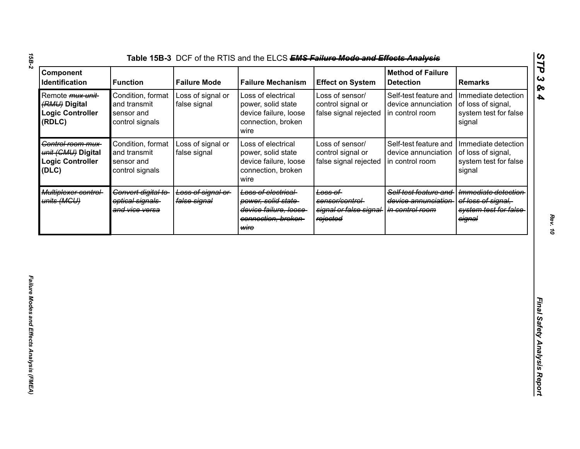| Component<br>Identification                                                    | <b>Function</b>                                                    | <b>Failure Mode</b>               | <b>Failure Mechanism</b>                                                                         | <b>Effect on System</b>                                           | <b>Method of Failure</b><br><b>Detection</b>                    | <b>Remarks</b>                                                                |
|--------------------------------------------------------------------------------|--------------------------------------------------------------------|-----------------------------------|--------------------------------------------------------------------------------------------------|-------------------------------------------------------------------|-----------------------------------------------------------------|-------------------------------------------------------------------------------|
| Remote <i>mux unit</i> -<br>(RMU) Digital<br><b>Logic Controller</b><br>(RDLC) | Condition, format<br>and transmit<br>sensor and<br>control signals | Loss of signal or<br>false signal | Loss of electrical<br>power, solid state<br>device failure, loose<br>connection, broken<br>wire  | Loss of sensor/<br>control signal or<br>false signal rejected     | Self-test feature and<br>device annunciation<br>in control room | Immediate detection<br>of loss of signal,<br>system test for false<br>signal  |
| Control room mux-<br>unit (CMU) Digital<br><b>Logic Controller</b><br>(DLC)    | Condition, format<br>and transmit<br>sensor and<br>control signals | Loss of signal or<br>false signal | Loss of electrical<br>power, solid state<br>device failure, loose<br>connection, broken<br>wire  | Loss of sensor/<br>control signal or<br>false signal rejected     | Self-test feature and<br>device annunciation<br>in control room | Immediate detection<br>of loss of signal,<br>system test for false<br>signal  |
| Multiplexer control-<br>units (MGU)                                            | Convert digital to<br>optical signals<br>and vice versa            | Loss of signal or<br>false signal | Loss of electrical<br>power, solid state<br>device failure, loose<br>connection, broken-<br>wire | Loss of<br>sensor/control-<br>signal or false signal-<br>rejected | Self test feature and<br>device annunciation<br>in control room | Immediate detection<br>of loss of signal.<br>system test for false-<br>signal |
|                                                                                |                                                                    |                                   |                                                                                                  |                                                                   |                                                                 |                                                                               |
|                                                                                |                                                                    |                                   |                                                                                                  |                                                                   |                                                                 |                                                                               |
|                                                                                |                                                                    |                                   |                                                                                                  |                                                                   |                                                                 |                                                                               |
|                                                                                |                                                                    |                                   |                                                                                                  |                                                                   |                                                                 |                                                                               |